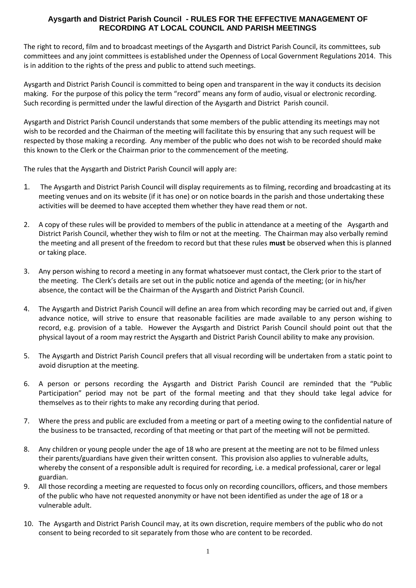## **Aysgarth and District Parish Council - RULES FOR THE EFFECTIVE MANAGEMENT OF RECORDING AT LOCAL COUNCIL AND PARISH MEETINGS**

The right to record, film and to broadcast meetings of the Aysgarth and District Parish Council, its committees, sub committees and any joint committees is established under the Openness of Local Government Regulations 2014. This is in addition to the rights of the press and public to attend such meetings.

Aysgarth and District Parish Council is committed to being open and transparent in the way it conducts its decision making. For the purpose of this policy the term "record" means any form of audio, visual or electronic recording. Such recording is permitted under the lawful direction of the Aysgarth and District Parish council.

Aysgarth and District Parish Council understands that some members of the public attending its meetings may not wish to be recorded and the Chairman of the meeting will facilitate this by ensuring that any such request will be respected by those making a recording. Any member of the public who does not wish to be recorded should make this known to the Clerk or the Chairman prior to the commencement of the meeting.

The rules that the Aysgarth and District Parish Council will apply are:

- 1. The Aysgarth and District Parish Council will display requirements as to filming, recording and broadcasting at its meeting venues and on its website (if it has one) or on notice boards in the parish and those undertaking these activities will be deemed to have accepted them whether they have read them or not.
- 2. A copy of these rules will be provided to members of the public in attendance at a meeting of the Aysgarth and District Parish Council, whether they wish to film or not at the meeting. The Chairman may also verbally remind the meeting and all present of the freedom to record but that these rules **must** be observed when this is planned or taking place.
- 3. Any person wishing to record a meeting in any format whatsoever must contact, the Clerk prior to the start of the meeting. The Clerk's details are set out in the public notice and agenda of the meeting; (or in his/her absence, the contact will be the Chairman of the Aysgarth and District Parish Council.
- 4. The Aysgarth and District Parish Council will define an area from which recording may be carried out and, if given advance notice, will strive to ensure that reasonable facilities are made available to any person wishing to record, e.g. provision of a table. However the Aysgarth and District Parish Council should point out that the physical layout of a room may restrict the Aysgarth and District Parish Council ability to make any provision.
- 5. The Aysgarth and District Parish Council prefers that all visual recording will be undertaken from a static point to avoid disruption at the meeting.
- 6. A person or persons recording the Aysgarth and District Parish Council are reminded that the "Public Participation" period may not be part of the formal meeting and that they should take legal advice for themselves as to their rights to make any recording during that period.
- 7. Where the press and public are excluded from a meeting or part of a meeting owing to the confidential nature of the business to be transacted, recording of that meeting or that part of the meeting will not be permitted.
- 8. Any children or young people under the age of 18 who are present at the meeting are not to be filmed unless their parents/guardians have given their written consent. This provision also applies to vulnerable adults, whereby the consent of a responsible adult is required for recording, i.e. a medical professional, carer or legal guardian.
- 9. All those recording a meeting are requested to focus only on recording councillors, officers, and those members of the public who have not requested anonymity or have not been identified as under the age of 18 or a vulnerable adult.
- 10. The Aysgarth and District Parish Council may, at its own discretion, require members of the public who do not consent to being recorded to sit separately from those who are content to be recorded.